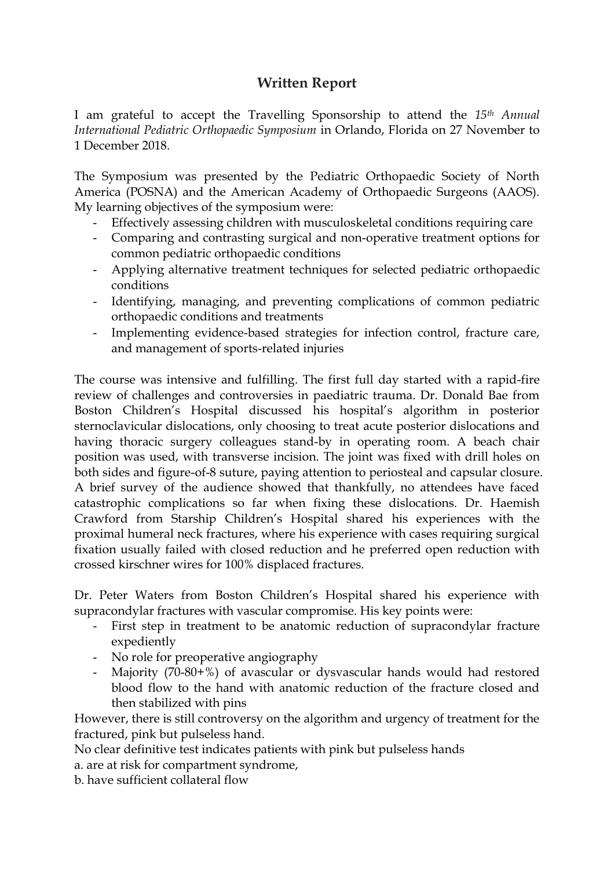## **Written Report**

I am grateful to accept the Travelling Sponsorship to attend the *15th Annual International Pediatric Orthopaedic Symposium* in Orlando, Florida on 27 November to 1 December 2018.

The Symposium was presented by the Pediatric Orthopaedic Society of North America (POSNA) and the American Academy of Orthopaedic Surgeons (AAOS). My learning objectives of the symposium were:

- Effectively assessing children with musculoskeletal conditions requiring care
- Comparing and contrasting surgical and non-operative treatment options for common pediatric orthopaedic conditions
- Applying alternative treatment techniques for selected pediatric orthopaedic conditions
- Identifying, managing, and preventing complications of common pediatric orthopaedic conditions and treatments
- Implementing evidence-based strategies for infection control, fracture care, and management of sports-related injuries

The course was intensive and fulfilling. The first full day started with a rapid-fire review of challenges and controversies in paediatric trauma. Dr. Donald Bae from Boston Children's Hospital discussed his hospital's algorithm in posterior sternoclavicular dislocations, only choosing to treat acute posterior dislocations and having thoracic surgery colleagues stand-by in operating room. A beach chair position was used, with transverse incision. The joint was fixed with drill holes on both sides and figure-of-8 suture, paying attention to periosteal and capsular closure. A brief survey of the audience showed that thankfully, no attendees have faced catastrophic complications so far when fixing these dislocations. Dr. Haemish Crawford from Starship Children's Hospital shared his experiences with the proximal humeral neck fractures, where his experience with cases requiring surgical fixation usually failed with closed reduction and he preferred open reduction with crossed kirschner wires for 100% displaced fractures.

Dr. Peter Waters from Boston Children's Hospital shared his experience with supracondylar fractures with vascular compromise. His key points were:

- First step in treatment to be anatomic reduction of supracondylar fracture expediently
- No role for preoperative angiography
- Majority (70-80+%) of avascular or dysvascular hands would had restored blood flow to the hand with anatomic reduction of the fracture closed and then stabilized with pins

However, there is still controversy on the algorithm and urgency of treatment for the fractured, pink but pulseless hand.

No clear definitive test indicates patients with pink but pulseless hands

a. are at risk for compartment syndrome,

b. have sufficient collateral flow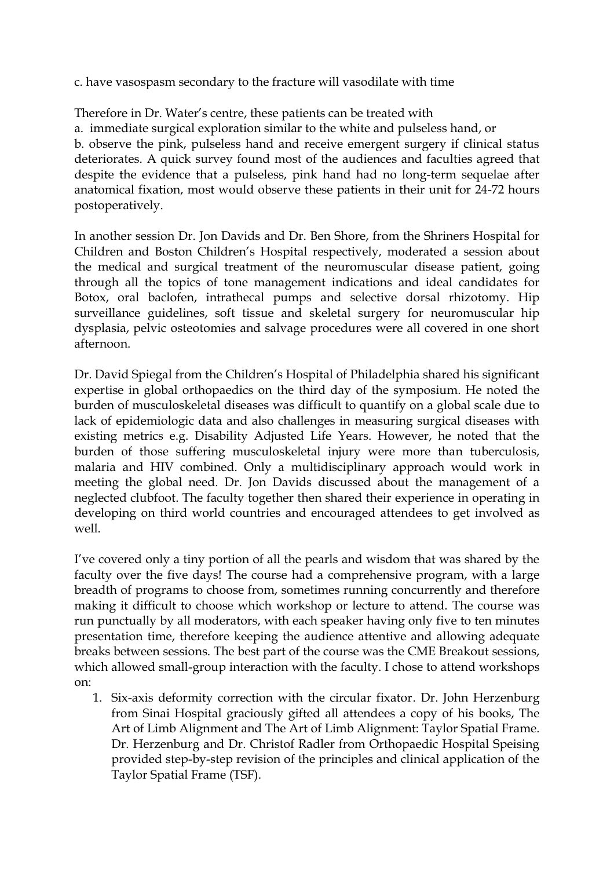c. have vasospasm secondary to the fracture will vasodilate with time

Therefore in Dr. Water's centre, these patients can be treated with a. immediate surgical exploration similar to the white and pulseless hand, or b. observe the pink, pulseless hand and receive emergent surgery if clinical status deteriorates. A quick survey found most of the audiences and faculties agreed that despite the evidence that a pulseless, pink hand had no long-term sequelae after anatomical fixation, most would observe these patients in their unit for 24-72 hours postoperatively.

In another session Dr. Jon Davids and Dr. Ben Shore, from the Shriners Hospital for Children and Boston Children's Hospital respectively, moderated a session about the medical and surgical treatment of the neuromuscular disease patient, going through all the topics of tone management indications and ideal candidates for Botox, oral baclofen, intrathecal pumps and selective dorsal rhizotomy. Hip surveillance guidelines, soft tissue and skeletal surgery for neuromuscular hip dysplasia, pelvic osteotomies and salvage procedures were all covered in one short afternoon.

Dr. David Spiegal from the Children's Hospital of Philadelphia shared his significant expertise in global orthopaedics on the third day of the symposium. He noted the burden of musculoskeletal diseases was difficult to quantify on a global scale due to lack of epidemiologic data and also challenges in measuring surgical diseases with existing metrics e.g. Disability Adjusted Life Years. However, he noted that the burden of those suffering musculoskeletal injury were more than tuberculosis, malaria and HIV combined. Only a multidisciplinary approach would work in meeting the global need. Dr. Jon Davids discussed about the management of a neglected clubfoot. The faculty together then shared their experience in operating in developing on third world countries and encouraged attendees to get involved as well.

I've covered only a tiny portion of all the pearls and wisdom that was shared by the faculty over the five days! The course had a comprehensive program, with a large breadth of programs to choose from, sometimes running concurrently and therefore making it difficult to choose which workshop or lecture to attend. The course was run punctually by all moderators, with each speaker having only five to ten minutes presentation time, therefore keeping the audience attentive and allowing adequate breaks between sessions. The best part of the course was the CME Breakout sessions, which allowed small-group interaction with the faculty. I chose to attend workshops on:

1. Six-axis deformity correction with the circular fixator. Dr. John Herzenburg from Sinai Hospital graciously gifted all attendees a copy of his books, The Art of Limb Alignment and The Art of Limb Alignment: Taylor Spatial Frame. Dr. Herzenburg and Dr. Christof Radler from Orthopaedic Hospital Speising provided step-by-step revision of the principles and clinical application of the Taylor Spatial Frame (TSF).